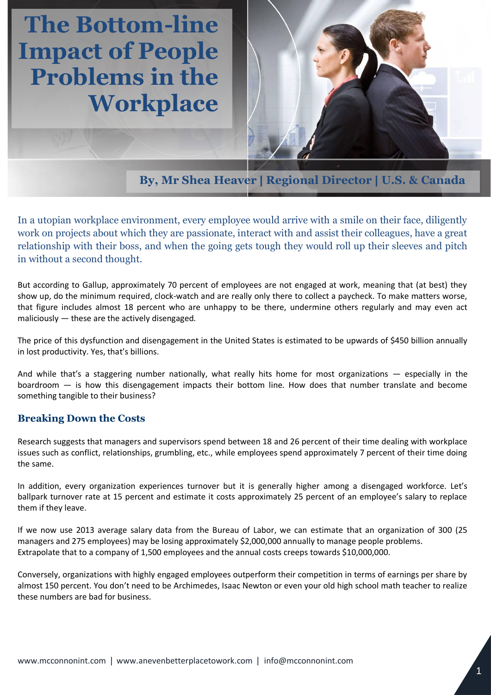## **The Bottom-line Impact of People Problems in the Workplace**



**By, Mr Shea Heaver | Regional Director | U.S. & Canada**

In a utopian workplace environment, every employee would arrive with a smile on their face, diligently work on projects about which they are passionate, interact with and assist their colleagues, have a great relationship with their boss, and when the going gets tough they would roll up their sleeves and pitch in without a second thought.

But according to Gallup, approximately 70 percent of employees are not engaged at work, meaning that (at best) they show up, do the minimum required, clock-watch and are really only there to collect a paycheck. To make matters worse, that figure includes almost 18 percent who are unhappy to be there, undermine others regularly and may even act maliciously — these are the actively disengaged.

The price of this dysfunction and disengagement in the United States is estimated to be upwards of \$450 billion annually in lost productivity. Yes, that's billions.

And while that's a staggering number nationally, what really hits home for most organizations — especially in the boardroom — is how this disengagement impacts their bottom line. How does that number translate and become something tangible to their business?

## **Breaking Down the Costs**

Research suggests that managers and supervisors spend between 18 and 26 percent of their time dealing with workplace issues such as conflict, relationships, grumbling, etc., while employees spend approximately 7 percent of their time doing the same.

In addition, every organization experiences turnover but it is generally higher among a disengaged workforce. Let's ballpark turnover rate at 15 percent and estimate it costs approximately 25 percent of an employee's salary to replace them if they leave.

If we now use 2013 average salary data from the Bureau of Labor, we can estimate that an organization of 300 (25 managers and 275 employees) may be losing approximately \$2,000,000 annually to manage people problems. Extrapolate that to a company of 1,500 employees and the annual costs creeps towards \$10,000,000.

Conversely, organizations with highly engaged employees outperform their competition in terms of earnings per share by almost 150 percent. You don't need to be Archimedes, Isaac Newton or even your old high school math teacher to realize these numbers are bad for business.